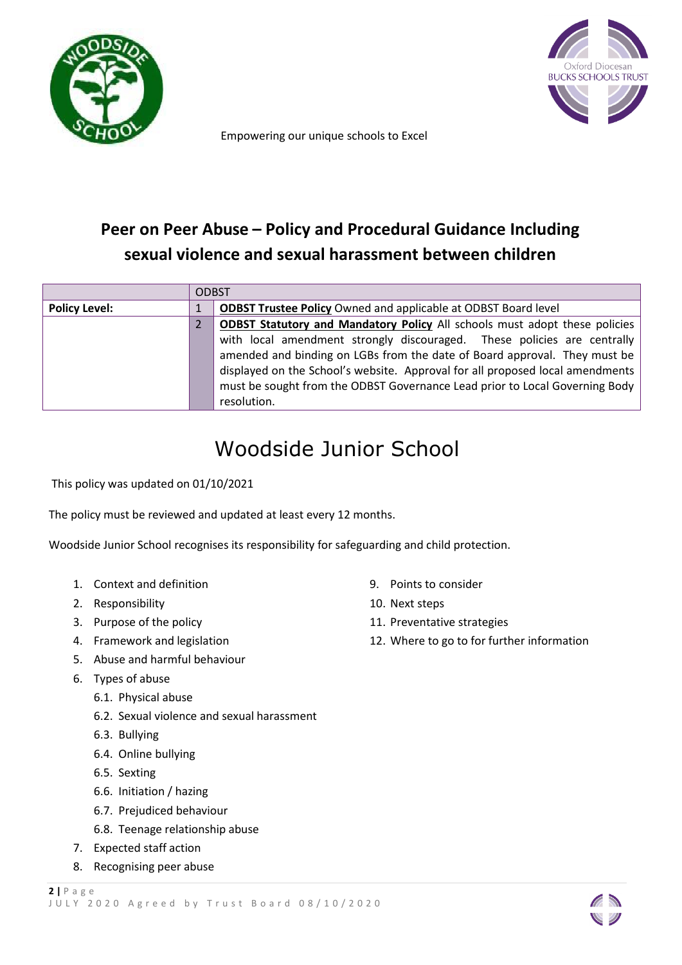



Empowering our unique schools to Excel

# **Peer on Peer Abuse – Policy and Procedural Guidance Including sexual violence and sexual harassment between children**

|                      | <b>ODBST</b> |                                                                                   |
|----------------------|--------------|-----------------------------------------------------------------------------------|
| <b>Policy Level:</b> |              | <b>ODBST Trustee Policy Owned and applicable at ODBST Board level</b>             |
|                      |              | <b>ODBST Statutory and Mandatory Policy All schools must adopt these policies</b> |
|                      |              | with local amendment strongly discouraged. These policies are centrally           |
|                      |              | amended and binding on LGBs from the date of Board approval. They must be         |
|                      |              | displayed on the School's website. Approval for all proposed local amendments     |
|                      |              | must be sought from the ODBST Governance Lead prior to Local Governing Body       |
|                      |              | resolution.                                                                       |

# Woodside Junior School

This policy was updated on 01/10/2021

The policy must be reviewed and updated at least every 12 months.

Woodside Junior School recognises its responsibility for safeguarding and child protection.

- 1. Context and definition
- 2. Responsibility
- 3. Purpose of the policy
- 4. Framework and legislation
- 5. Abuse and harmful behaviour
- 6. Types of abuse
	- 6.1. Physical abuse
	- 6.2. Sexual violence and sexual harassment
	- 6.3. Bullying
	- 6.4. Online bullying
	- 6.5. Sexting
	- 6.6. Initiation / hazing
	- 6.7. Prejudiced behaviour
	- 6.8. Teenage relationship abuse
- 7. Expected staff action
- 8. Recognising peer abuse
- 9. Points to consider
- 10. Next steps
- 11. Preventative strategies
- 12. Where to go to for further information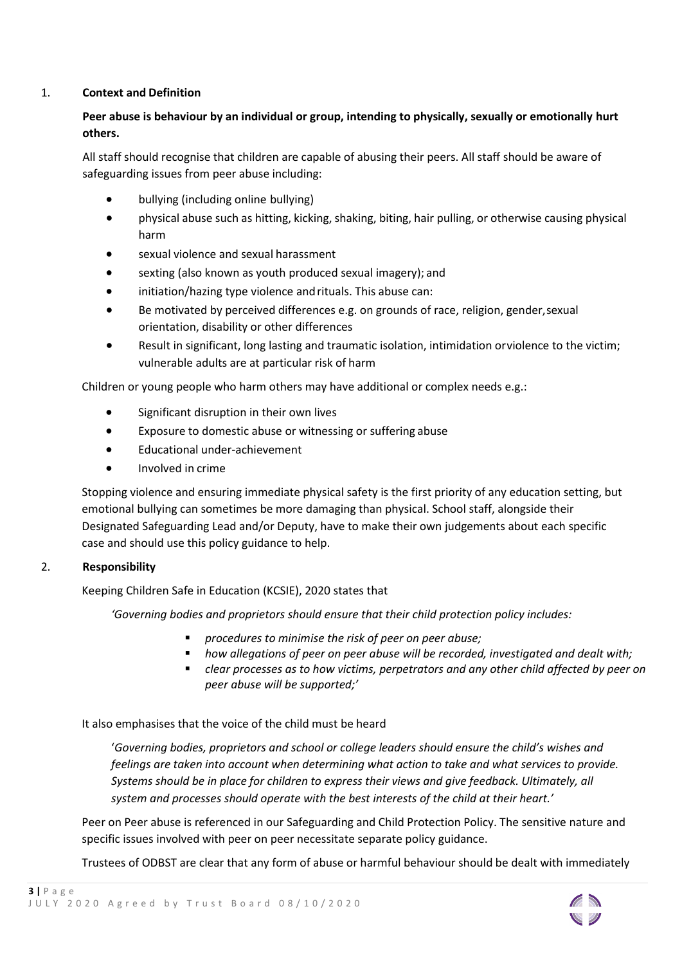# 1. **Context and Definition**

# **Peer abuse is behaviour by an individual or group, intending to physically, sexually or emotionally hurt others.**

All staff should recognise that children are capable of abusing their peers. All staff should be aware of safeguarding issues from peer abuse including:

- bullying (including online bullying)
- physical abuse such as hitting, kicking, shaking, biting, hair pulling, or otherwise causing physical harm
- sexual violence and sexual harassment
- sexting (also known as youth produced sexual imagery); and
- initiation/hazing type violence and rituals. This abuse can:
- Be motivated by perceived differences e.g. on grounds of race, religion, gender,sexual orientation, disability or other differences
- Result in significant, long lasting and traumatic isolation, intimidation orviolence to the victim; vulnerable adults are at particular risk of harm

Children or young people who harm others may have additional or complex needs e.g.:

- Significant disruption in their own lives
- Exposure to domestic abuse or witnessing or suffering abuse
- Educational under-achievement
- Involved in crime

Stopping violence and ensuring immediate physical safety is the first priority of any education setting, but emotional bullying can sometimes be more damaging than physical. School staff, alongside their Designated Safeguarding Lead and/or Deputy, have to make their own judgements about each specific case and should use this policy guidance to help.

# 2. **Responsibility**

Keeping Children Safe in Education (KCSIE), 2020 states that

*'Governing bodies and proprietors should ensure that their child protection policy includes:*

- *procedures to minimise the risk of peer on peer abuse;*
- *how allegations of peer on peer abuse will be recorded, investigated and dealt with;*
- *clear processes as to how victims, perpetrators and any other child affected by peer on peer abuse will be supported;'*

It also emphasises that the voice of the child must be heard

'*Governing bodies, proprietors and school or college leaders should ensure the child's wishes and feelings are taken into account when determining what action to take and what services to provide. Systems should be in place for children to express their views and give feedback. Ultimately, all system and processes should operate with the best interests of the child at their heart.'*

Peer on Peer abuse is referenced in our Safeguarding and Child Protection Policy. The sensitive nature and specific issues involved with peer on peer necessitate separate policy guidance.

Trustees of ODBST are clear that any form of abuse or harmful behaviour should be dealt with immediately

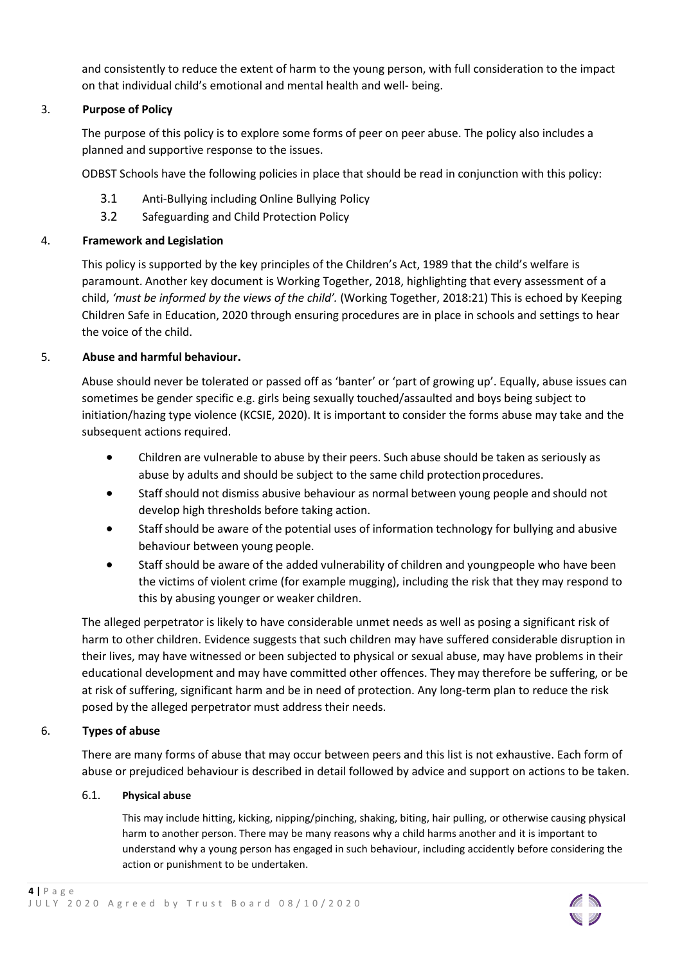and consistently to reduce the extent of harm to the young person, with full consideration to the impact on that individual child's emotional and mental health and well- being.

# 3. **Purpose of Policy**

The purpose of this policy is to explore some forms of peer on peer abuse. The policy also includes a planned and supportive response to the issues.

ODBST Schools have the following policies in place that should be read in conjunction with this policy:

- 3.1 Anti-Bullying including Online Bullying Policy
- 3.2 Safeguarding and Child Protection Policy

# 4. **Framework and Legislation**

This policy is supported by the key principles of the Children's Act, 1989 that the child's welfare is paramount. Another key document is Working Together, 2018, highlighting that every assessment of a child, *'must be informed by the views of the child'.* (Working Together, 2018:21) This is echoed by Keeping Children Safe in Education, 2020 through ensuring procedures are in place in schools and settings to hear the voice of the child.

# 5. **Abuse and harmful behaviour.**

Abuse should never be tolerated or passed off as 'banter' or 'part of growing up'. Equally, abuse issues can sometimes be gender specific e.g. girls being sexually touched/assaulted and boys being subject to initiation/hazing type violence (KCSIE, 2020). It is important to consider the forms abuse may take and the subsequent actions required.

- Children are vulnerable to abuse by their peers. Such abuse should be taken as seriously as abuse by adults and should be subject to the same child protection procedures.
- Staff should not dismiss abusive behaviour as normal between young people and should not develop high thresholds before taking action.
- Staff should be aware of the potential uses of information technology for bullying and abusive behaviour between young people.
- Staff should be aware of the added vulnerability of children and youngpeople who have been the victims of violent crime (for example mugging), including the risk that they may respond to this by abusing younger or weaker children.

The alleged perpetrator is likely to have considerable unmet needs as well as posing a significant risk of harm to other children. Evidence suggests that such children may have suffered considerable disruption in their lives, may have witnessed or been subjected to physical or [sexual](http://trixresources.proceduresonline.com/nat_key/keywords/sexual_abuse.html) [abuse,](http://trixresources.proceduresonline.com/nat_key/keywords/sexual_abuse.html) may have problems in their educational development and may have committed other offences. They may therefore be suffering, or be at risk of suffering[, significant harm a](http://trixresources.proceduresonline.com/nat_key/keywords/significant_harm.html)nd be in need of protection. Any long-term plan to reduce the risk posed by the alleged perpetrator must address their needs.

# 6. **Types of abuse**

There are many forms of abuse that may occur between peers and this list is not exhaustive. Each form of abuse or prejudiced behaviour is described in detail followed by advice and support on actions to be taken.

# 6.1. **Physical abuse**

This may include hitting, kicking, nipping/pinching, shaking, biting, hair pulling, or otherwise causing physical harm to another person. There may be many reasons why a child harms another and it is important to understand why a young person has engaged in such behaviour, including accidently before considering the action or punishment to be undertaken.

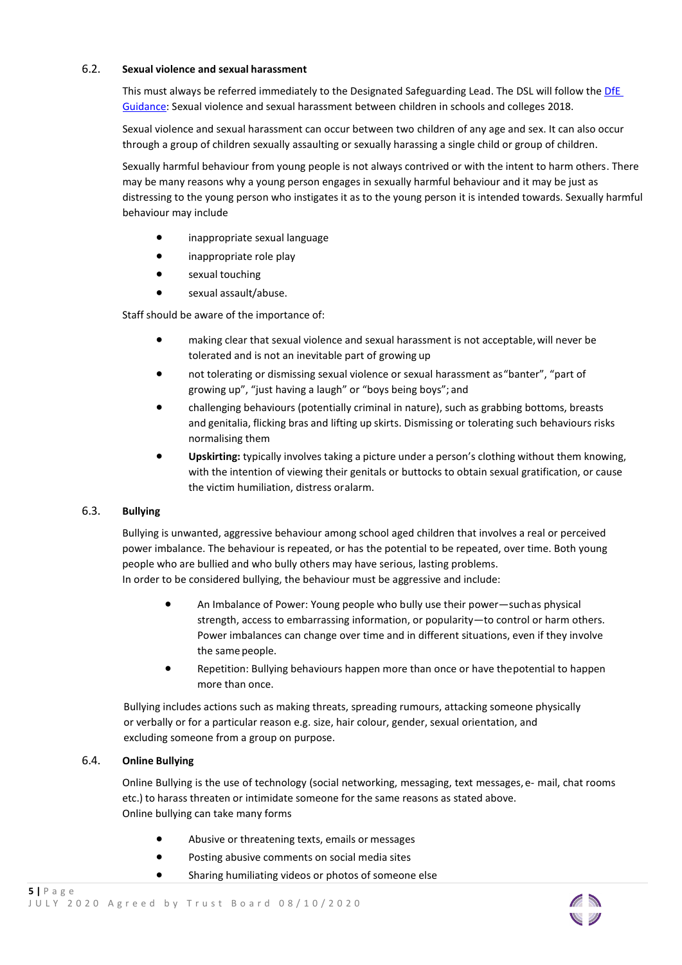#### 6.2. **Sexual violence and sexual harassment**

This must always be referred immediately to the Designated Safeguarding Lead. The DSL will follow the [DfE](https://www.gov.uk/government/publications/sexual-violence-and-sexual-harassment-%20between-children-in-schools-and-colleges)  [Guidance:](https://www.gov.uk/government/publications/sexual-violence-and-sexual-harassment-%20between-children-in-schools-and-colleges) [Sexual violence and sexual harassment between](https://www.gov.uk/government/uploads/system/uploads/attachment_data/file/719902/Sexual_violence_and_sexual_harassment_between_children_in_schools_and_colleges.pdf) [children in schools and colleges 2](https://www.gov.uk/government/uploads/system/uploads/attachment_data/file/719902/Sexual_violence_and_sexual_harassment_between_children_in_schools_and_colleges.pdf)018.

Sexual violence and sexual harassment can occur between two children of any age and sex. It can also occur through a group of children sexually assaulting or sexually harassing a single child or group of children.

Sexually harmful behaviour from young people is not always contrived or with the intent to harm others. There may be many reasons why a young person engages in sexually harmful behaviour and it may be just as distressing to the young person who instigates it as to the young person it is intended towards. Sexually harmful behaviour may include

- inappropriate sexual language
- inappropriate role play
- sexual touching
- sexual assault/abuse.

Staff should be aware of the importance of:

- making clear that sexual violence and sexual harassment is not acceptable,will never be tolerated and is not an inevitable part of growing up
- not tolerating or dismissing sexual violence or sexual harassment as"banter", "part of growing up", "just having a laugh" or "boys being boys"; and
- challenging behaviours (potentially criminal in nature), such as grabbing bottoms, breasts and genitalia, flicking bras and lifting up skirts. Dismissing or tolerating such behaviours risks normalising them
- **Upskirting:** typically involves taking a picture under a person's clothing without them knowing, with the intention of viewing their genitals or buttocks to obtain sexual gratification, or cause the victim humiliation, distress oralarm.

#### 6.3. **Bullying**

Bullying is unwanted, aggressive behaviour among school aged children that involves a real or perceived power imbalance. The behaviour is repeated, or has the potential to be repeated, over time. Both young people who are bullied and who bully others may have serious, lasting problems.

In order to be considered bullying, the behaviour must be aggressive and include:

- An Imbalance of Power: Young people who bully use their power—suchas physical strength, access to embarrassing information, or popularity—to control or harm others. Power imbalances can change over time and in different situations, even if they involve the same people.
- Repetition: Bullying behaviours happen more than once or have thepotential to happen more than once.

Bullying includes actions such as making threats, spreading rumours, attacking someone physically or verbally or for a particular reason e.g. size, hair colour, gender, sexual orientation, and excluding someone from a group on purpose.

# 6.4. **Online Bullying**

Online Bullying is the use of technology (social networking, messaging, text messages, e- mail, chat rooms etc.) to harass threaten or intimidate someone for the same reasons as stated above. Online bullying can take many forms

- Abusive or threatening texts, emails or messages
- Posting abusive comments on social media sites
- Sharing humiliating videos or photos of someone else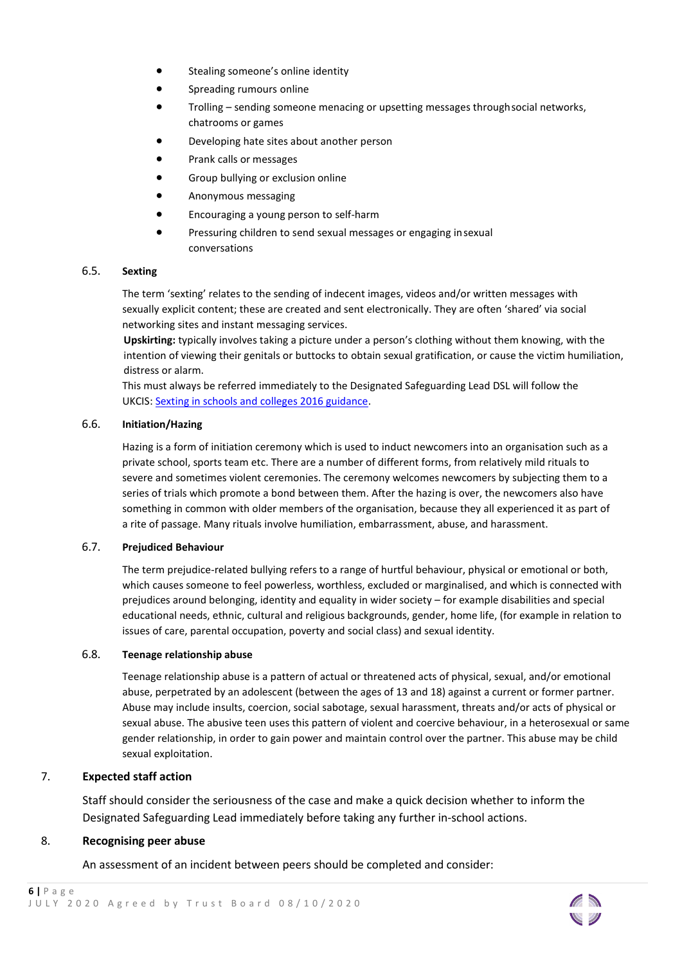- Stealing someone's online identity
- **•** Spreading rumours online
- Trolling sending someone menacing or upsetting messages throughsocial networks, chatrooms or games
- Developing hate sites about another person
- Prank calls or messages
- **•** Group bullying or exclusion online
- Anonymous messaging
- Encouraging a young person to self-harm
- Pressuring children to send sexual messages or engaging insexual conversations

#### 6.5. **Sexting**

The term 'sexting' relates to the sending of indecent images, videos and/or written messages with sexually explicit content; these are created and sent electronically. They are often 'shared' via social networking sites and instant messaging services.

**Upskirting:** typically involves taking a picture under a person's clothing without them knowing, with the intention of viewing their genitals or buttocks to obtain sexual gratification, or cause the victim humiliation, distress or alarm.

This must always be referred immediately to the Designated Safeguarding Lead DSL will follow the UKCIS: [Sexting in schools and colleges 2016 guidance.](https://www.gov.uk/government/uploads/system/uploads/attachment_data/file/551575/6.%202439_KG_NCA_Sexting_in_Schools_WEB%091_.PDF)

#### 6.6. **Initiation/Hazing**

Hazing is a form of initiation ceremony which is used to induct newcomers into an organisation such as a private school, sports team etc. There are a number of different forms, from relatively mild rituals to severe and sometimes violent ceremonies. The ceremony welcomes newcomers by subjecting them to a series of trials which promote a bond between them. After the hazing is over, the newcomers also have something in common with older members of the organisation, because they all experienced it as part of a rite of passage. Many rituals involve humiliation, embarrassment, abuse, and harassment.

#### 6.7. **Prejudiced Behaviour**

The term prejudice-related bullying refers to a range of hurtful behaviour, physical or emotional or both, which causes someone to feel powerless, worthless, excluded or marginalised, and which is connected with prejudices around belonging, identity and equality in wider society – for example disabilities and special educational needs, ethnic, cultural and religious backgrounds, gender, home life, (for example in relation to issues of care, parental occupation, poverty and social class) and sexual identity.

#### 6.8. **Teenage relationship abuse**

Teenage relationship abuse is a pattern of actual or threatened acts of physical, sexual, and/or emotional abuse, perpetrated by an adolescent (between the ages of 13 and 18) against a current or former partner. Abuse may include insults, coercion, social sabotage, sexual harassment, threats and/or acts of physical or sexual abuse. The abusive teen uses this pattern of violent and coercive behaviour, in a heterosexual or same gender relationship, in order to gain power and maintain control over the partner. This abuse may be child sexual exploitation.

#### 7. **Expected staff action**

Staff should consider the seriousness of the case and make a quick decision whether to inform the Designated Safeguarding Lead immediately before taking any further in-school actions.

#### 8. **Recognising peer abuse**

An assessment of an incident between peers should be completed and consider: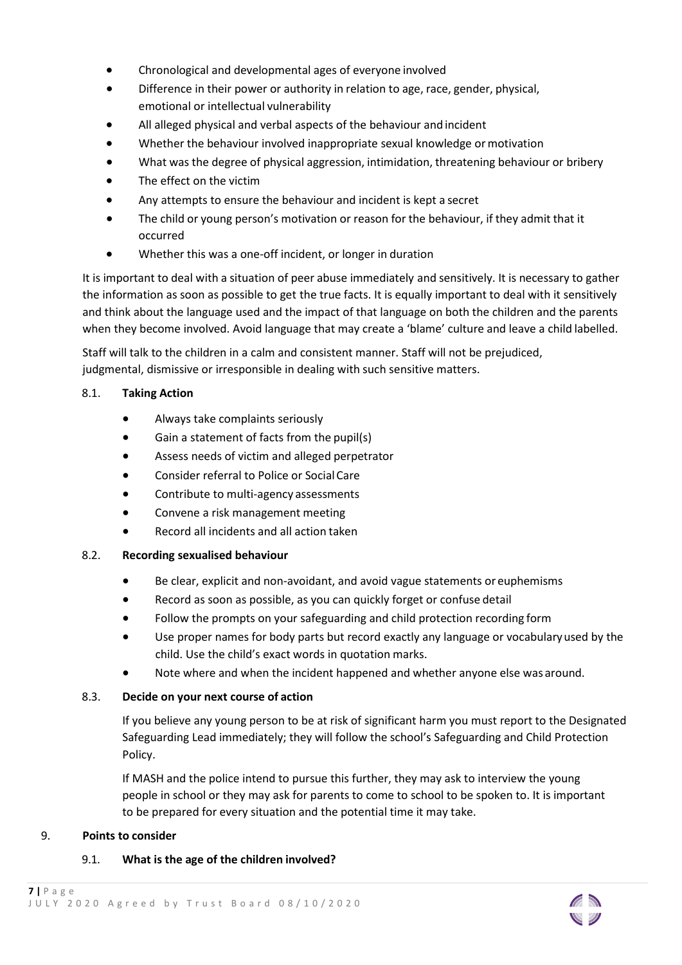- Chronological and developmental ages of everyone involved
- Difference in their power or authority in relation to age, race, gender, physical, emotional or intellectual vulnerability
- All alleged physical and verbal aspects of the behaviour and incident
- Whether the behaviour involved inappropriate sexual knowledge or motivation
- What was the degree of physical aggression, intimidation, threatening behaviour or bribery
- The effect on the victim
- Any attempts to ensure the behaviour and incident is kept a secret
- The child or young person's motivation or reason for the behaviour, if they admit that it occurred
- Whether this was a one-off incident, or longer in duration

It is important to deal with a situation of peer abuse immediately and sensitively. It is necessary to gather the information as soon as possible to get the true facts. It is equally important to deal with it sensitively and think about the language used and the impact of that language on both the children and the parents when they become involved. Avoid language that may create a 'blame' culture and leave a child labelled.

Staff will talk to the children in a calm and consistent manner. Staff will not be prejudiced, judgmental, dismissive or irresponsible in dealing with such sensitive matters.

# 8.1. **Taking Action**

- Always take complaints seriously
- Gain a statement of facts from the pupil(s)
- Assess needs of victim and alleged perpetrator
- Consider referral to Police or SocialCare
- Contribute to multi-agency assessments
- Convene a risk management meeting
- Record all incidents and all action taken

# 8.2. **Recording sexualised behaviour**

- Be clear, explicit and non-avoidant, and avoid vague statements or euphemisms
- Record as soon as possible, as you can quickly forget or confuse detail
- Follow the prompts on your safeguarding and child protection recording form
- Use proper names for body parts but record exactly any language or vocabularyused by the child. Use the child's exact words in quotation marks.
- Note where and when the incident happened and whether anyone else was around.

# 8.3. **Decide on your next course of action**

If you believe any young person to be at risk of significant harm you must report to the Designated Safeguarding Lead immediately; they will follow the school's Safeguarding and Child Protection Policy.

If MASH and the police intend to pursue this further, they may ask to interview the young people in school or they may ask for parents to come to school to be spoken to. It is important to be prepared for every situation and the potential time it may take.

# 9. **Points to consider**

# 9.1. **What is the age of the children involved?**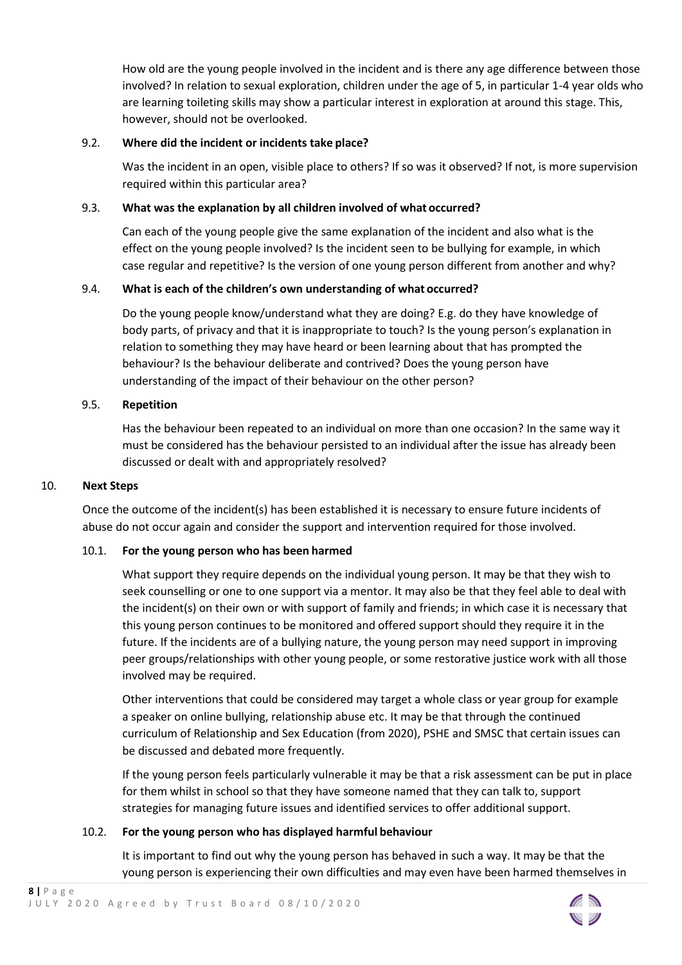How old are the young people involved in the incident and is there any age difference between those involved? In relation to sexual exploration, children under the age of 5, in particular 1-4 year olds who are learning toileting skills may show a particular interest in exploration at around this stage. This, however, should not be overlooked.

# 9.2. **Where did the incident or incidents take place?**

Was the incident in an open, visible place to others? If so was it observed? If not, is more supervision required within this particular area?

# 9.3. **What was the explanation by all children involved of what occurred?**

Can each of the young people give the same explanation of the incident and also what is the effect on the young people involved? Is the incident seen to be bullying for example, in which case regular and repetitive? Is the version of one young person different from another and why?

#### 9.4. **What is each of the children's own understanding of what occurred?**

Do the young people know/understand what they are doing? E.g. do they have knowledge of body parts, of privacy and that it is inappropriate to touch? Is the young person's explanation in relation to something they may have heard or been learning about that has prompted the behaviour? Is the behaviour deliberate and contrived? Does the young person have understanding of the impact of their behaviour on the other person?

#### 9.5. **Repetition**

Has the behaviour been repeated to an individual on more than one occasion? In the same way it must be considered has the behaviour persisted to an individual after the issue has already been discussed or dealt with and appropriately resolved?

#### 10. **Next Steps**

Once the outcome of the incident(s) has been established it is necessary to ensure future incidents of abuse do not occur again and consider the support and intervention required for those involved.

# 10.1. **For the young person who has been harmed**

What support they require depends on the individual young person. It may be that they wish to seek counselling or one to one support via a mentor. It may also be that they feel able to deal with the incident(s) on their own or with support of family and friends; in which case it is necessary that this young person continues to be monitored and offered support should they require it in the future. If the incidents are of a bullying nature, the young person may need support in improving peer groups/relationships with other young people, or some restorative justice work with all those involved may be required.

Other interventions that could be considered may target a whole class or year group for example a speaker on online bullying, relationship abuse etc. It may be that through the continued curriculum of Relationship and Sex Education (from 2020), PSHE and SMSC that certain issues can be discussed and debated more frequently.

If the young person feels particularly vulnerable it may be that a risk assessment can be put in place for them whilst in school so that they have someone named that they can talk to, support strategies for managing future issues and identified services to offer additional support.

#### 10.2. **For the young person who has displayed harmful behaviour**

It is important to find out why the young person has behaved in such a way. It may be that the young person is experiencing their own difficulties and may even have been harmed themselves in

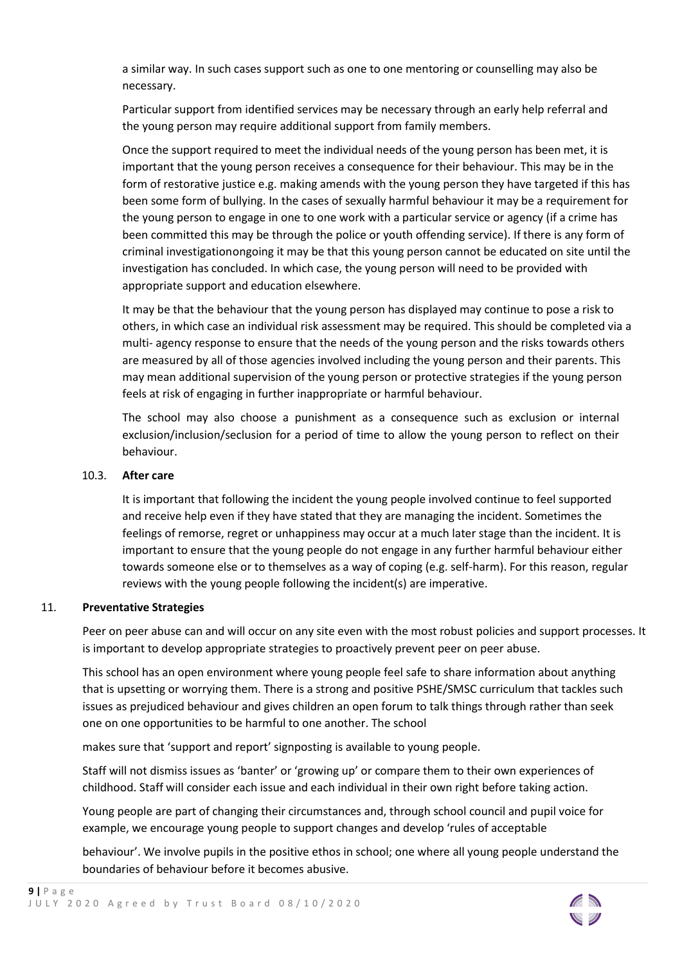a similar way. In such cases support such as one to one mentoring or counselling may also be necessary.

Particular support from identified services may be necessary through an early help referral and the young person may require additional support from family members.

Once the support required to meet the individual needs of the young person has been met, it is important that the young person receives a consequence for their behaviour. This may be in the form of restorative justice e.g. making amends with the young person they have targeted if this has been some form of bullying. In the cases of sexually harmful behaviour it may be a requirement for the young person to engage in one to one work with a particular service or agency (if a crime has been committed this may be through the police or youth offending service). If there is any form of criminal investigationongoing it may be that this young person cannot be educated on site until the investigation has concluded. In which case, the young person will need to be provided with appropriate support and education elsewhere.

It may be that the behaviour that the young person has displayed may continue to pose a risk to others, in which case an individual risk assessment may be required. This should be completed via a multi- agency response to ensure that the needs of the young person and the risks towards others are measured by all of those agencies involved including the young person and their parents. This may mean additional supervision of the young person or protective strategies if the young person feels at risk of engaging in further inappropriate or harmful behaviour.

The school may also choose a punishment as a consequence such as exclusion or internal exclusion/inclusion/seclusion for a period of time to allow the young person to reflect on their behaviour.

#### 10.3. **After care**

It is important that following the incident the young people involved continue to feel supported and receive help even if they have stated that they are managing the incident. Sometimes the feelings of remorse, regret or unhappiness may occur at a much later stage than the incident. It is important to ensure that the young people do not engage in any further harmful behaviour either towards someone else or to themselves as a way of coping (e.g. self-harm). For this reason, regular reviews with the young people following the incident(s) are imperative.

#### 11. **Preventative Strategies**

Peer on peer abuse can and will occur on any site even with the most robust policies and support processes. It is important to develop appropriate strategies to proactively prevent peer on peer abuse.

This school has an open environment where young people feel safe to share information about anything that is upsetting or worrying them. There is a strong and positive PSHE/SMSC curriculum that tackles such issues as prejudiced behaviour and gives children an open forum to talk things through rather than seek one on one opportunities to be harmful to one another. The school

makes sure that 'support and report' signposting is available to young people.

Staff will not dismiss issues as 'banter' or 'growing up' or compare them to their own experiences of childhood. Staff will consider each issue and each individual in their own right before taking action.

Young people are part of changing their circumstances and, through school council and pupil voice for example, we encourage young people to support changes and develop 'rules of acceptable

behaviour'. We involve pupils in the positive ethos in school; one where all young people understand the boundaries of behaviour before it becomes abusive.